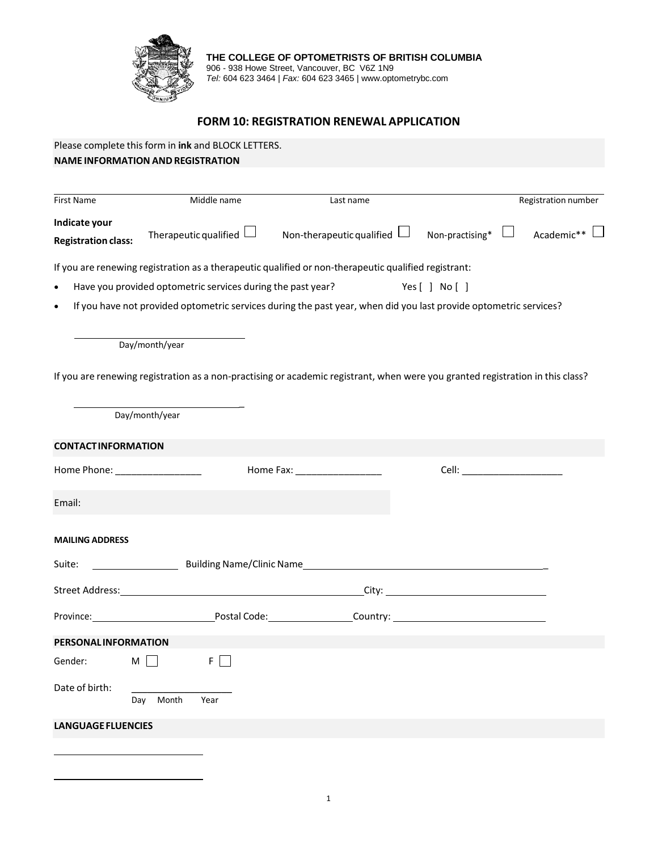

**THE COLLEGE OF OPTOMETRISTS OF BRITISH COLUMBIA** 906 - 938 Howe Street, Vancouver, BC V6Z 1N9 *Tel:* 604 623 3464 | *Fax:* 604 623 3465 | www.optometrybc.com

## **FORM 10: REGISTRATION RENEWAL APPLICATION**

|                                             | Please complete this form in ink and BLOCK LETTERS.<br><b>NAME INFORMATION AND REGISTRATION</b> |                                                                                                                                                                                                                                   |                                                                                                                                                                                                                                                                                                                                                                                               |                          |
|---------------------------------------------|-------------------------------------------------------------------------------------------------|-----------------------------------------------------------------------------------------------------------------------------------------------------------------------------------------------------------------------------------|-----------------------------------------------------------------------------------------------------------------------------------------------------------------------------------------------------------------------------------------------------------------------------------------------------------------------------------------------------------------------------------------------|--------------------------|
|                                             |                                                                                                 |                                                                                                                                                                                                                                   |                                                                                                                                                                                                                                                                                                                                                                                               |                          |
| First Name                                  | Middle name                                                                                     | Last name                                                                                                                                                                                                                         |                                                                                                                                                                                                                                                                                                                                                                                               | Registration number      |
| Indicate your<br><b>Registration class:</b> | Therapeutic qualified $\Box$                                                                    | Non-therapeutic qualified $\Box$                                                                                                                                                                                                  | Non-practising*                                                                                                                                                                                                                                                                                                                                                                               | $\Box$ Academic** $\Box$ |
|                                             |                                                                                                 | If you are renewing registration as a therapeutic qualified or non-therapeutic qualified registrant:                                                                                                                              |                                                                                                                                                                                                                                                                                                                                                                                               |                          |
| $\bullet$                                   | Have you provided optometric services during the past year?                                     |                                                                                                                                                                                                                                   | Yes [ ] No [ ]                                                                                                                                                                                                                                                                                                                                                                                |                          |
| $\bullet$                                   |                                                                                                 | If you have not provided optometric services during the past year, when did you last provide optometric services?                                                                                                                 |                                                                                                                                                                                                                                                                                                                                                                                               |                          |
|                                             | Day/month/year                                                                                  |                                                                                                                                                                                                                                   |                                                                                                                                                                                                                                                                                                                                                                                               |                          |
|                                             |                                                                                                 | If you are renewing registration as a non-practising or academic registrant, when were you granted registration in this class?                                                                                                    |                                                                                                                                                                                                                                                                                                                                                                                               |                          |
|                                             | Day/month/year                                                                                  |                                                                                                                                                                                                                                   |                                                                                                                                                                                                                                                                                                                                                                                               |                          |
| <b>CONTACT INFORMATION</b>                  |                                                                                                 |                                                                                                                                                                                                                                   |                                                                                                                                                                                                                                                                                                                                                                                               |                          |
| Home Phone: <u>___________________</u>      |                                                                                                 |                                                                                                                                                                                                                                   | <b>Cell: Cell</b> : <b>Cell</b> : <b>Cell</b> : <b>Cell</b> : <b>Cell</b> : <b>Cell</b> : <b>Cell</b> : <b>Cell</b> : <b>Cell</b> : <b>Cell</b> : <b>Cell</b> : <b>Cell</b> : <b>Cell</b> : <b>Cell</b> : <b>Cell</b> : <b>Cell</b> : <b>Cell</b> : <b>Cell</b> : <b>Cell</b> : <b>Cell</b> : <b>Cell</b> : <b>Cell</b> : <b>Cell</b> : <b>Cell</b> : <b>Cell</b> : <b>Cell</b> : <b>Cell</b> |                          |
| Email:                                      |                                                                                                 |                                                                                                                                                                                                                                   |                                                                                                                                                                                                                                                                                                                                                                                               |                          |
| <b>MAILING ADDRESS</b>                      |                                                                                                 |                                                                                                                                                                                                                                   |                                                                                                                                                                                                                                                                                                                                                                                               |                          |
| Suite:                                      |                                                                                                 | and the set of the set of the set of the set of the set of the set of the set of the set of the set of the set o<br>All the set of the set of the set of the set of the set of the set of the set of the set of the set of the se |                                                                                                                                                                                                                                                                                                                                                                                               |                          |
|                                             |                                                                                                 |                                                                                                                                                                                                                                   |                                                                                                                                                                                                                                                                                                                                                                                               |                          |
| Province:                                   | Postal Code:                                                                                    | _____________________Country: _                                                                                                                                                                                                   |                                                                                                                                                                                                                                                                                                                                                                                               |                          |
| <b>PERSONAL INFORMATION</b>                 |                                                                                                 |                                                                                                                                                                                                                                   |                                                                                                                                                                                                                                                                                                                                                                                               |                          |
| Gender:                                     | $M \Box$<br>$F \Box$                                                                            |                                                                                                                                                                                                                                   |                                                                                                                                                                                                                                                                                                                                                                                               |                          |
| Date of birth:                              | Day Month<br>Year                                                                               |                                                                                                                                                                                                                                   |                                                                                                                                                                                                                                                                                                                                                                                               |                          |
| <b>LANGUAGE FLUENCIES</b>                   |                                                                                                 |                                                                                                                                                                                                                                   |                                                                                                                                                                                                                                                                                                                                                                                               |                          |
|                                             |                                                                                                 |                                                                                                                                                                                                                                   |                                                                                                                                                                                                                                                                                                                                                                                               |                          |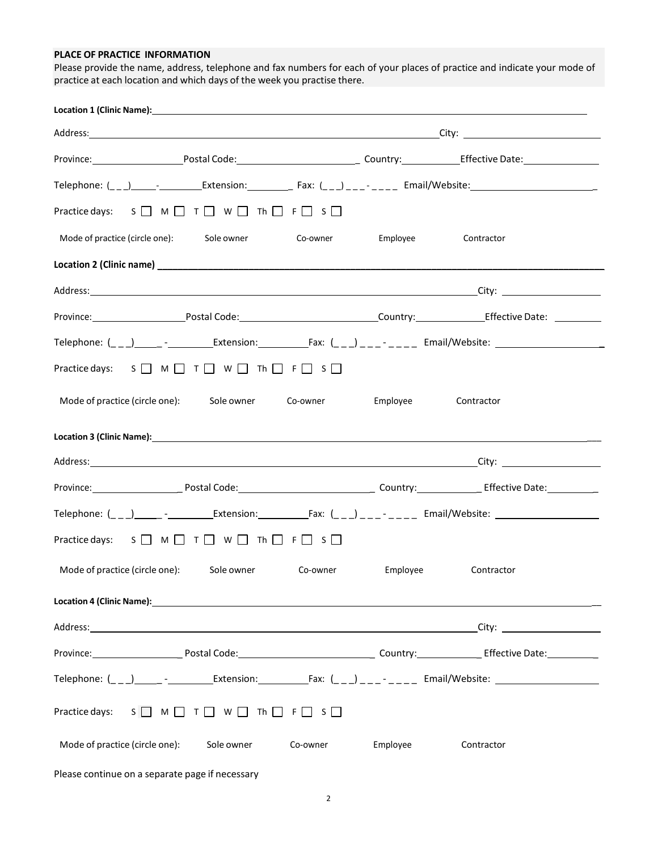## **PLACE OF PRACTICE INFORMATION**

Please provide the name, address, telephone and fax numbers for each of your places of practice and indicate your mode of practice at each location and which days of the week you practise there.

| Location 1 (Clinic Name): Example 2014 12:20 AM and 2014 12:20 AM and 2014 12:20 AM and 2014 12:20 AM and 2014                                                                                                                 |                      |            |
|--------------------------------------------------------------------------------------------------------------------------------------------------------------------------------------------------------------------------------|----------------------|------------|
|                                                                                                                                                                                                                                |                      |            |
| Province: Province: Postal Code: Postal Code: Country: Country: Effective Date:                                                                                                                                                |                      |            |
|                                                                                                                                                                                                                                |                      |            |
| Practice days: $S \square M \square T \square W \square Th \square F \square S \square$                                                                                                                                        |                      |            |
| Mode of practice (circle one): Sole owner Co-owner Employee                                                                                                                                                                    |                      | Contractor |
| Location 2 (Clinic name) 100 million control and the control of the control of the control of the control of the control of the control of the control of the control of the control of the control of the control of the cont |                      |            |
|                                                                                                                                                                                                                                |                      |            |
| Province:________________________Postal Code:_________________________________Country:____________________Effective Date: ____________                                                                                         |                      |            |
| Telephone: (_ _ _)______ -__________Extension:_____________Fax: (_ _ _) _ _ _ - _ _ _ _ Email/Website: _______________________________                                                                                         |                      |            |
| Practice days: $S \square M \square T \square W \square Th \square F \square S \square$                                                                                                                                        |                      |            |
| Mode of practice (circle one): Sole owner Co-owner                                                                                                                                                                             | Employee             | Contractor |
|                                                                                                                                                                                                                                |                      |            |
|                                                                                                                                                                                                                                |                      |            |
| Province: Province: Postal Code: Postal Code: Province: Province: Province: Province: Province: Province: Province: Province: Province: Province: Province: Province: Province: Province: Province: Province: Province: Provin |                      |            |
|                                                                                                                                                                                                                                |                      |            |
| Practice days: $S \square M \square T \square W \square Th \square F \square S \square$                                                                                                                                        |                      |            |
| Mode of practice (circle one): Sole owner Co-owner                                                                                                                                                                             | Employee             | Contractor |
|                                                                                                                                                                                                                                |                      |            |
|                                                                                                                                                                                                                                |                      |            |
|                                                                                                                                                                                                                                |                      |            |
|                                                                                                                                                                                                                                |                      |            |
| Practice days: $S \square M \square T \square W \square Th \square F \square S \square$                                                                                                                                        |                      |            |
| Mode of practice (circle one):<br>Sole owner                                                                                                                                                                                   | Co-owner<br>Employee | Contractor |
|                                                                                                                                                                                                                                |                      |            |

Please continue on a separate page if necessary